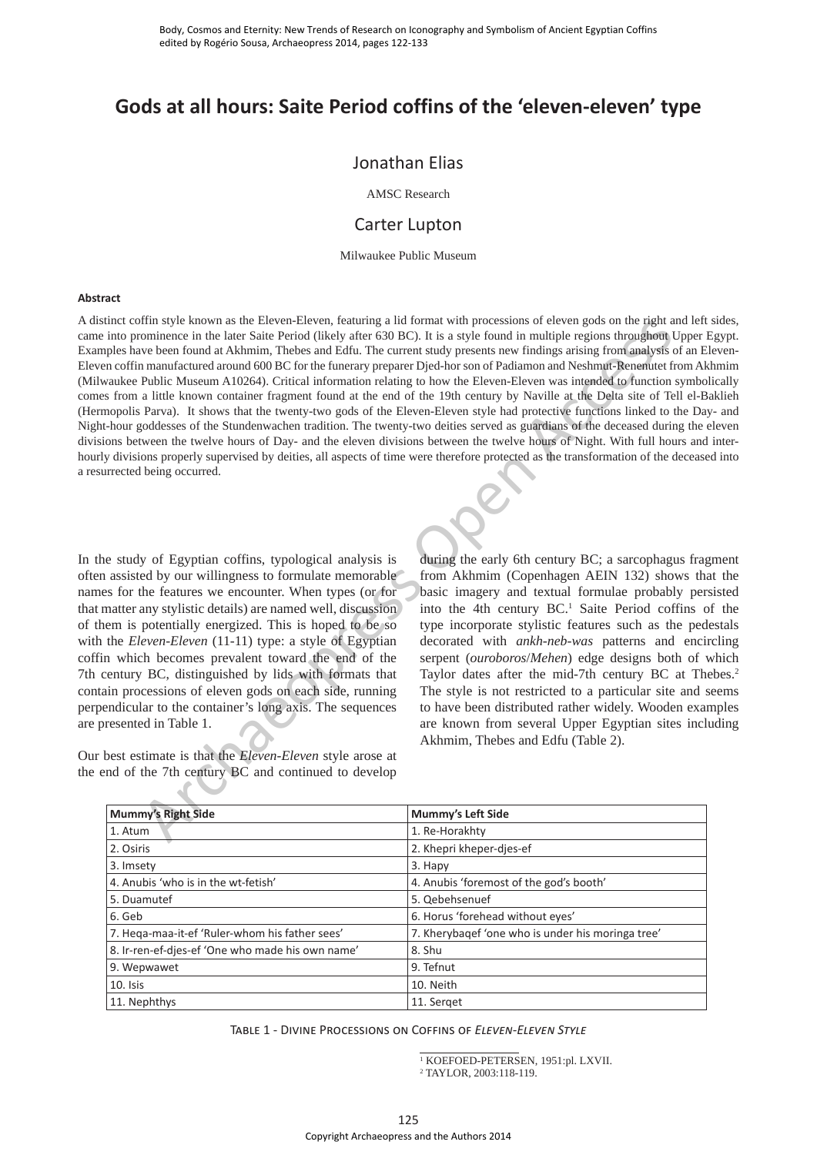# **Gods at all hours: Saite Period coffins of the 'eleven-eleven' type**

# Jonathan Elias

AMSC Research

# Carter Lupton

Milwaukee Public Museum

#### **Abstract**

A distinct coffin style known as the Eleven-Eleven, featuring a lid format with processions of eleven gods on the right and left sides, came into prominence in the later Saite Period (likely after 630 BC). It is a style found in multiple regions throughout Upper Egypt. Examples have been found at Akhmim, Thebes and Edfu. The current study presents new findings arising from analysis of an Eleven-Eleven coffin manufactured around 600 BC for the funerary preparer Djed-hor son of Padiamon and Neshmut-Renenutet from Akhmim (Milwaukee Public Museum A10264). Critical information relating to how the Eleven-Eleven was intended to function symbolically comes from a little known container fragment found at the end of the 19th century by Naville at the Delta site of Tell el-Baklieh (Hermopolis Parva). It shows that the twenty-two gods of the Eleven-Eleven style had protective functions linked to the Day- and Night-hour goddesses of the Stundenwachen tradition. The twenty-two deities served as guardians of the deceased during the eleven divisions between the twelve hours of Day- and the eleven divisions between the twelve hours of Night. With full hours and interhourly divisions properly supervised by deities, all aspects of time were therefore protected as the transformation of the deceased into a resurrected being occurred.

In the study of Egyptian coffins, typological analysis is often assisted by our willingness to formulate memorable names for the features we encounter. When types (or for that matter any stylistic details) are named well, discussion of them is potentially energized. This is hoped to be so with the *Eleven-Eleven* (11-11) type: a style of Egyptian coffin which becomes prevalent toward the end of the 7th century BC, distinguished by lids with formats that contain processions of eleven gods on each side, running perpendicular to the container's long axis. The sequences are presented in Table 1.

Our best estimate is that the *Eleven-Eleven* style arose at the end of the 7th century BC and continued to develop

during the early 6th century BC; a sarcophagus fragment from Akhmim (Copenhagen AEIN 132) shows that the basic imagery and textual formulae probably persisted into the 4th century  $BC<sup>1</sup>$  Saite Period coffins of the type incorporate stylistic features such as the pedestals decorated with *ankh-neb-was* patterns and encircling serpent (*ouroboros*/*Mehen*) edge designs both of which Taylor dates after the mid-7th century BC at Thebes.<sup>2</sup> The style is not restricted to a particular site and seems to have been distributed rather widely. Wooden examples are known from several Upper Egyptian sites including Akhmim, Thebes and Edfu (Table 2).

| urrected being occurred.                                                                                                                                                                                                                                                                                                                                                                                                                                                                                                                                                                                                                                                                                                   | tinct coffin style known as the Eleven-Eleven, featuring a lid format with processions of eleven gods on the right and left<br>into prominence in the later Saite Period (likely after 630 BC). It is a style found in multiple regions throughout Upper l<br>aples have been found at Akhmim, Thebes and Edfu. The current study presents new findings arising from analysis of an E<br>en coffin manufactured around 600 BC for the funerary preparer Djed-hor son of Padiamon and Neshmut-Renenutet from Ak<br>waukee Public Museum A10264). Critical information relating to how the Eleven-Eleven was intended to function symbo<br>es from a little known container fragment found at the end of the 19th century by Naville at the Delta site of Tell el-B<br>mopolis Parva). It shows that the twenty-two gods of the Eleven-Eleven style had protective functions linked to the Day<br>t-hour goddesses of the Stundenwachen tradition. The twenty-two deities served as guardians of the deceased during the o<br>ions between the twelve hours of Day- and the eleven divisions between the twelve hours of Night. With full hours and<br>ly divisions properly supervised by deities, all aspects of time were therefore protected as the transformation of the decease |
|----------------------------------------------------------------------------------------------------------------------------------------------------------------------------------------------------------------------------------------------------------------------------------------------------------------------------------------------------------------------------------------------------------------------------------------------------------------------------------------------------------------------------------------------------------------------------------------------------------------------------------------------------------------------------------------------------------------------------|-------------------------------------------------------------------------------------------------------------------------------------------------------------------------------------------------------------------------------------------------------------------------------------------------------------------------------------------------------------------------------------------------------------------------------------------------------------------------------------------------------------------------------------------------------------------------------------------------------------------------------------------------------------------------------------------------------------------------------------------------------------------------------------------------------------------------------------------------------------------------------------------------------------------------------------------------------------------------------------------------------------------------------------------------------------------------------------------------------------------------------------------------------------------------------------------------------------------------------------------------------------------------------------|
| ne study of Egyptian coffins, typological analysis is<br>assisted by our willingness to formulate memorable<br>es for the features we encounter. When types (or for<br>matter any stylistic details) are named well, discussion<br>nem is potentially energized. This is hoped to be so<br>the <i>Eleven-Eleven</i> (11-11) type: a style of Egyptian<br>in which becomes prevalent toward the end of the<br>century BC, distinguished by lids with formats that<br>ain processions of eleven gods on each side, running<br>endicular to the container's long axis. The sequences<br>presented in Table 1.<br>best estimate is that the Eleven-Eleven style arose at<br>end of the 7th century BC and continued to develop | during the early 6th century BC; a sarcophagus fraged<br>from Akhmim (Copenhagen AEIN 132) shows that<br>basic imagery and textual formulae probably per<br>into the 4th century BC. <sup>1</sup> Saite Period coffins o<br>type incorporate stylistic features such as the ped<br>decorated with ankh-neb-was patterns and encir<br>serpent (ouroboros/Mehen) edge designs both of v<br>Taylor dates after the mid-7th century BC at The<br>The style is not restricted to a particular site and s<br>to have been distributed rather widely. Wooden exam<br>are known from several Upper Egyptian sites incl<br>Akhmim, Thebes and Edfu (Table 2).                                                                                                                                                                                                                                                                                                                                                                                                                                                                                                                                                                                                                                |
| <b>Mummy's Right Side</b>                                                                                                                                                                                                                                                                                                                                                                                                                                                                                                                                                                                                                                                                                                  | Mummy's Left Side                                                                                                                                                                                                                                                                                                                                                                                                                                                                                                                                                                                                                                                                                                                                                                                                                                                                                                                                                                                                                                                                                                                                                                                                                                                                   |
| 1. Atum                                                                                                                                                                                                                                                                                                                                                                                                                                                                                                                                                                                                                                                                                                                    | 1. Re-Horakhty                                                                                                                                                                                                                                                                                                                                                                                                                                                                                                                                                                                                                                                                                                                                                                                                                                                                                                                                                                                                                                                                                                                                                                                                                                                                      |
| 2. Osiris                                                                                                                                                                                                                                                                                                                                                                                                                                                                                                                                                                                                                                                                                                                  | 2. Khepri kheper-djes-ef                                                                                                                                                                                                                                                                                                                                                                                                                                                                                                                                                                                                                                                                                                                                                                                                                                                                                                                                                                                                                                                                                                                                                                                                                                                            |
| 3. Imsety                                                                                                                                                                                                                                                                                                                                                                                                                                                                                                                                                                                                                                                                                                                  | 3. Hapy                                                                                                                                                                                                                                                                                                                                                                                                                                                                                                                                                                                                                                                                                                                                                                                                                                                                                                                                                                                                                                                                                                                                                                                                                                                                             |
| 4. Anubis 'who is in the wt-fetish'                                                                                                                                                                                                                                                                                                                                                                                                                                                                                                                                                                                                                                                                                        | 4. Anubis 'foremost of the god's booth'                                                                                                                                                                                                                                                                                                                                                                                                                                                                                                                                                                                                                                                                                                                                                                                                                                                                                                                                                                                                                                                                                                                                                                                                                                             |
| 5. Duamutef                                                                                                                                                                                                                                                                                                                                                                                                                                                                                                                                                                                                                                                                                                                | 5. Qebehsenuef                                                                                                                                                                                                                                                                                                                                                                                                                                                                                                                                                                                                                                                                                                                                                                                                                                                                                                                                                                                                                                                                                                                                                                                                                                                                      |
| 6. Geb                                                                                                                                                                                                                                                                                                                                                                                                                                                                                                                                                                                                                                                                                                                     | 6. Horus 'forehead without eyes'                                                                                                                                                                                                                                                                                                                                                                                                                                                                                                                                                                                                                                                                                                                                                                                                                                                                                                                                                                                                                                                                                                                                                                                                                                                    |
| 7. Heqa-maa-it-ef 'Ruler-whom his father sees'                                                                                                                                                                                                                                                                                                                                                                                                                                                                                                                                                                                                                                                                             | 7. Kherybaqef 'one who is under his moringa tree'                                                                                                                                                                                                                                                                                                                                                                                                                                                                                                                                                                                                                                                                                                                                                                                                                                                                                                                                                                                                                                                                                                                                                                                                                                   |
| 8. Ir-ren-ef-djes-ef 'One who made his own name'                                                                                                                                                                                                                                                                                                                                                                                                                                                                                                                                                                                                                                                                           | 8. Shu                                                                                                                                                                                                                                                                                                                                                                                                                                                                                                                                                                                                                                                                                                                                                                                                                                                                                                                                                                                                                                                                                                                                                                                                                                                                              |
| 9. Wepwawet                                                                                                                                                                                                                                                                                                                                                                                                                                                                                                                                                                                                                                                                                                                | 9. Tefnut                                                                                                                                                                                                                                                                                                                                                                                                                                                                                                                                                                                                                                                                                                                                                                                                                                                                                                                                                                                                                                                                                                                                                                                                                                                                           |
| 10. Isis                                                                                                                                                                                                                                                                                                                                                                                                                                                                                                                                                                                                                                                                                                                   | 10. Neith                                                                                                                                                                                                                                                                                                                                                                                                                                                                                                                                                                                                                                                                                                                                                                                                                                                                                                                                                                                                                                                                                                                                                                                                                                                                           |
| 11. Nephthys                                                                                                                                                                                                                                                                                                                                                                                                                                                                                                                                                                                                                                                                                                               | 11. Serget                                                                                                                                                                                                                                                                                                                                                                                                                                                                                                                                                                                                                                                                                                                                                                                                                                                                                                                                                                                                                                                                                                                                                                                                                                                                          |
|                                                                                                                                                                                                                                                                                                                                                                                                                                                                                                                                                                                                                                                                                                                            | TABLE 1 - DIVINE PROCESSIONS ON COFFINS OF ELEVEN-ELEVEN STYLE<br><sup>1</sup> KOEFOED-PETERSEN, 1951:pl. LXVII.<br><sup>2</sup> TAYLOR, 2003:118-119.                                                                                                                                                                                                                                                                                                                                                                                                                                                                                                                                                                                                                                                                                                                                                                                                                                                                                                                                                                                                                                                                                                                              |
|                                                                                                                                                                                                                                                                                                                                                                                                                                                                                                                                                                                                                                                                                                                            | 125<br>Copyright Archaeopress and the Authors 2014                                                                                                                                                                                                                                                                                                                                                                                                                                                                                                                                                                                                                                                                                                                                                                                                                                                                                                                                                                                                                                                                                                                                                                                                                                  |

<sup>1</sup> KOEFOED-PETERSEN, 1951:pl. LXVII.

<sup>2</sup> TAYLOR, 2003:118-119.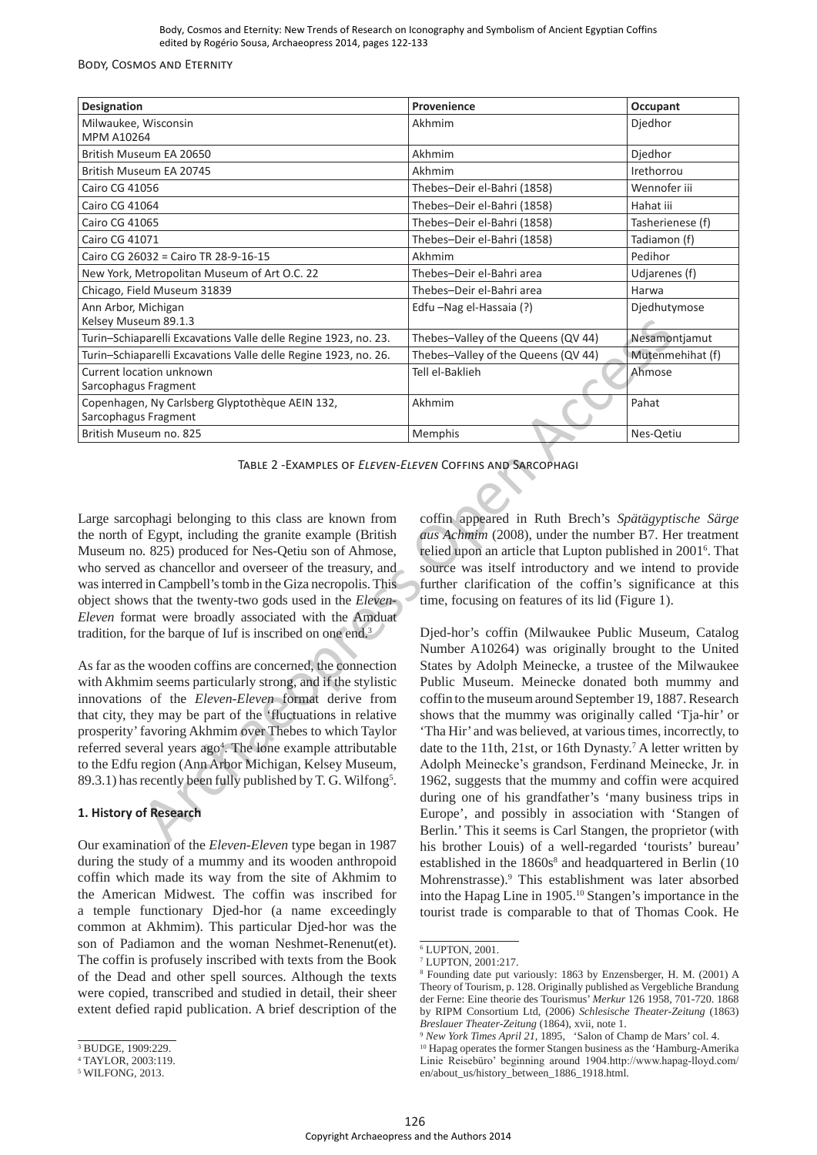#### Body, Cosmos and Eternity

| <b>Designation</b>                                                      | Provenience                         | Occupant         |
|-------------------------------------------------------------------------|-------------------------------------|------------------|
| Milwaukee, Wisconsin<br><b>MPM A10264</b>                               | Akhmim                              | Djedhor          |
| British Museum EA 20650                                                 | Akhmim                              | Djedhor          |
| British Museum EA 20745                                                 | Akhmim                              | Irethorrou       |
| Cairo CG 41056                                                          | Thebes-Deir el-Bahri (1858)         | Wennofer iii     |
| Cairo CG 41064                                                          | Thebes-Deir el-Bahri (1858)         | Hahat iii        |
| Cairo CG 41065                                                          | Thebes-Deir el-Bahri (1858)         | Tasherienese (f) |
| Cairo CG 41071                                                          | Thebes-Deir el-Bahri (1858)         | Tadiamon (f)     |
| Cairo CG 26032 = Cairo TR 28-9-16-15                                    | Akhmim                              | Pedihor          |
| New York, Metropolitan Museum of Art O.C. 22                            | Thebes-Deir el-Bahri area           | Udjarenes (f)    |
| Chicago, Field Museum 31839                                             | Thebes-Deir el-Bahri area           | Harwa            |
| Ann Arbor, Michigan<br>Kelsey Museum 89.1.3                             | Edfu -Nag el-Hassaia (?)            | Djedhutymose     |
| Turin-Schiaparelli Excavations Valle delle Regine 1923, no. 23.         | Thebes-Valley of the Queens (QV 44) | Nesamontjamut    |
| Turin-Schiaparelli Excavations Valle delle Regine 1923, no. 26.         | Thebes-Valley of the Queens (QV 44) | Mutenmehihat (f) |
| Current location unknown<br>Sarcophagus Fragment                        | Tell el-Baklieh                     | Ahmose           |
| Copenhagen, Ny Carlsberg Glyptothèque AEIN 132,<br>Sarcophagus Fragment | Akhmim                              | Pahat            |
| British Museum no. 825                                                  | <b>Memphis</b>                      | Nes-Qetiu        |

Large sarcophagi belonging to this class are known from the north of Egypt, including the granite example (British Museum no. 825) produced for Nes-Qetiu son of Ahmose, who served as chancellor and overseer of the treasury, and was interred in Campbell's tomb in the Giza necropolis. This object shows that the twenty-two gods used in the *Eleven-Eleven* format were broadly associated with the Amduat tradition, for the barque of Iuf is inscribed on one end.3

As far as the wooden coffins are concerned, the connection with Akhmim seems particularly strong, and if the stylistic innovations of the *Eleven-Eleven* format derive from that city, they may be part of the 'fluctuations in relative prosperity' favoring Akhmim over Thebes to which Taylor referred several years ago<sup>4</sup>. The lone example attributable to the Edfu region (Ann Arbor Michigan, Kelsey Museum, 89.3.1) has recently been fully published by T. G. Wilfong<sup>5</sup>.

## **1. History of Research**

Our examination of the *Eleven-Eleven* type began in 1987 during the study of a mummy and its wooden anthropoid coffin which made its way from the site of Akhmim to the American Midwest. The coffin was inscribed for a temple functionary Djed-hor (a name exceedingly common at Akhmim). This particular Djed-hor was the son of Padiamon and the woman Neshmet-Renenut(et). The coffin is profusely inscribed with texts from the Book of the Dead and other spell sources. Although the texts were copied, transcribed and studied in detail, their sheer extent defied rapid publication. A brief description of the coffin appeared in Ruth Brech's *Spätägyptische Särge aus Achmim* (2008), under the number B7. Her treatment relied upon an article that Lupton published in 2001<sup>6</sup>. That source was itself introductory and we intend to provide further clarification of the coffin's significance at this time, focusing on features of its lid (Figure 1).

Djed-hor's coffin (Milwaukee Public Museum, Catalog Number A10264) was originally brought to the United States by Adolph Meinecke, a trustee of the Milwaukee Public Museum. Meinecke donated both mummy and coffin to the museum around September 19, 1887. Research shows that the mummy was originally called 'Tja-hir' or 'Tha Hir' and was believed, at various times, incorrectly, to date to the 11th, 21st, or 16th Dynasty.<sup>7</sup> A letter written by Adolph Meinecke's grandson, Ferdinand Meinecke, Jr. in 1962, suggests that the mummy and coffin were acquired during one of his grandfather's 'many business trips in Europe', and possibly in association with 'Stangen of Berlin.' This it seems is Carl Stangen, the proprietor (with his brother Louis) of a well-regarded 'tourists' bureau' established in the 1860s<sup>8</sup> and headquartered in Berlin (10 Mohrenstrasse).9 This establishment was later absorbed into the Hapag Line in 1905.10 Stangen's importance in the tourist trade is comparable to that of Thomas Cook. He Example the longitude Region (1931). The the Concess COV 44) Newsletter and the Authors 2014 Archaeopress and the Authors 2014 Archaeopress and the Authors 2014 Archaeopress and the Authors 2014 Archaeopress and the Autho

<sup>3</sup> BUDGE, 1909:229.

<sup>4</sup> TAYLOR, 2003:119.

<sup>5</sup> WILFONG, 2013.

<sup>6</sup> LUPTON, 2001.

<sup>7</sup> LUPTON, 2001:217.

<sup>8</sup> Founding date put variously: 1863 by Enzensberger, H. M. (2001) A Theory of Tourism, p. 128. Originally published as Vergebliche Brandung der Ferne: Eine theorie des Tourismus' *Merkur* 126 1958, 701-720. 1868 by RIPM Consortium Ltd, (2006) *Schlesische Theater-Zeitung* (1863) *Breslauer Theater-Zeitung* (1864), xvii, note 1.

<sup>9</sup> *New York Times April 21,* 1895,'Salon of Champ de Mars' col. 4. <sup>10</sup> Hapag operates the former Stangen business as the 'Hamburg-Amerika Linie Reisebüro' beginning around 1904.http://www.hapag-lloyd.com/ en/about\_us/history\_between\_1886\_1918.html.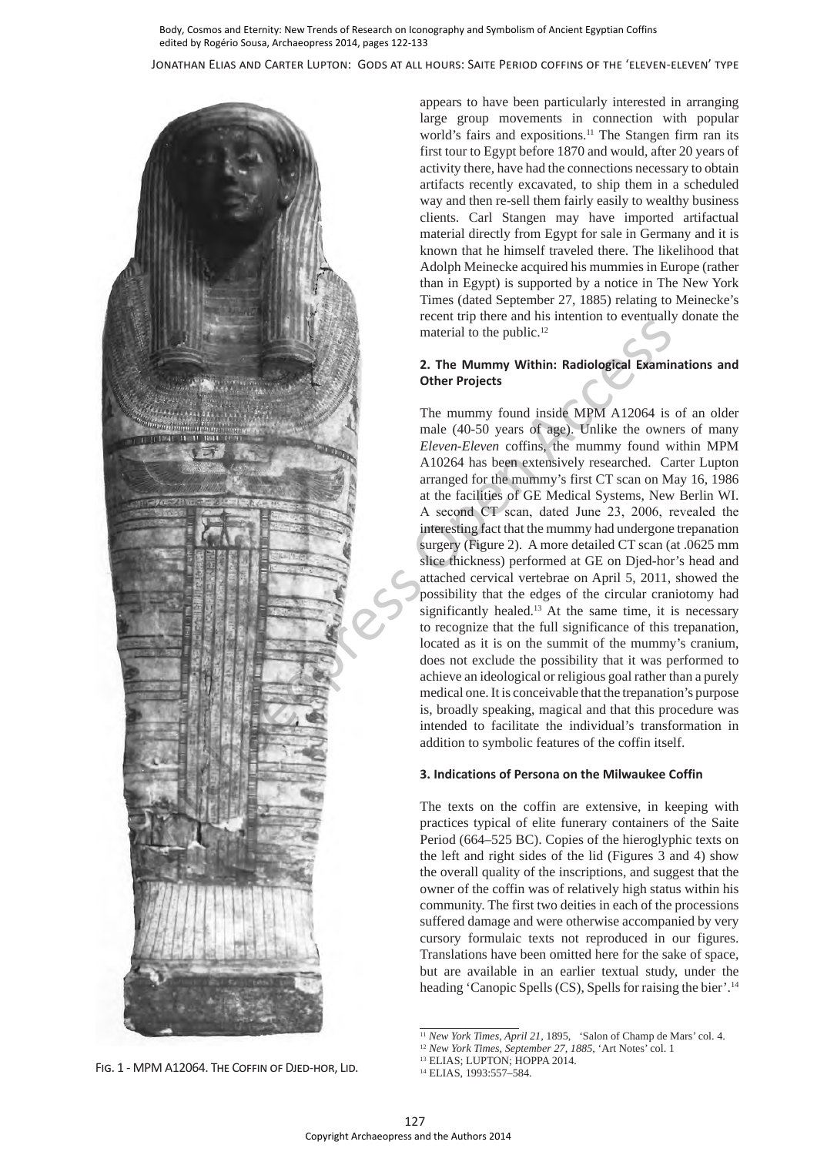Jonathan Elias and Carter Lupton: Gods at all hours: Saite Period coffins of the 'eleven-eleven' type



appears to have been particularly interested in arranging large group movements in connection with popular world's fairs and expositions.<sup>11</sup> The Stangen firm ran its first tour to Egypt before 1870 and would, after 20 years of activity there, have had the connections necessary to obtain artifacts recently excavated, to ship them in a scheduled way and then re-sell them fairly easily to wealthy business clients. Carl Stangen may have imported artifactual material directly from Egypt for sale in Germany and it is known that he himself traveled there. The likelihood that Adolph Meinecke acquired his mummies in Europe (rather than in Egypt) is supported by a notice in The New York Times (dated September 27, 1885) relating to Meinecke's recent trip there and his intention to eventually donate the material to the public.<sup>12</sup>

#### **2. The Mummy Within: Radiological Examinations and Other Projects**

The mummy found inside MPM A12064 is of an older male (40-50 years of age). Unlike the owners of many *Eleven-Eleven* coffins, the mummy found within MPM A10264 has been extensively researched. Carter Lupton arranged for the mummy's first CT scan on May 16, 1986 at the facilities of GE Medical Systems, New Berlin WI. A second CT scan, dated June 23, 2006, revealed the interesting fact that the mummy had undergone trepanation surgery (Figure 2). A more detailed CT scan (at .0625 mm slice thickness) performed at GE on Djed-hor's head and attached cervical vertebrae on April 5, 2011, showed the possibility that the edges of the circular craniotomy had significantly healed.<sup>13</sup> At the same time, it is necessary to recognize that the full significance of this trepanation, located as it is on the summit of the mummy's cranium, does not exclude the possibility that it was performed to achieve an ideological or religious goal rather than a purely medical one. It is conceivable that the trepanation's purpose is, broadly speaking, magical and that this procedure was intended to facilitate the individual's transformation in addition to symbolic features of the coffin itself.

## **3. Indications of Persona on the Milwaukee Coffin**

The texts on the coffin are extensive, in keeping with practices typical of elite funerary containers of the Saite Period (664–525 BC). Copies of the hieroglyphic texts on the left and right sides of the lid (Figures 3 and 4) show the overall quality of the inscriptions, and suggest that the owner of the coffin was of relatively high status within his community. The first two deities in each of the processions suffered damage and were otherwise accompanied by very cursory formulaic texts not reproduced in our figures. Translations have been omitted here for the sake of space, but are available in an earlier textual study, under the heading 'Canopic Spells (CS), Spells for raising the bier'.<sup>14</sup>

<sup>11</sup> *New York Times, April 21,* 1895,'Salon of Champ de Mars' col. 4.

<sup>12</sup> *New York Times, September 27, 1885,* 'Art Notes' col. 1

<sup>&</sup>lt;sup>13</sup> ELIAS; LUPTON; HOPPA 2014.<br><sup>14</sup> ELIAS, 1993:557-584.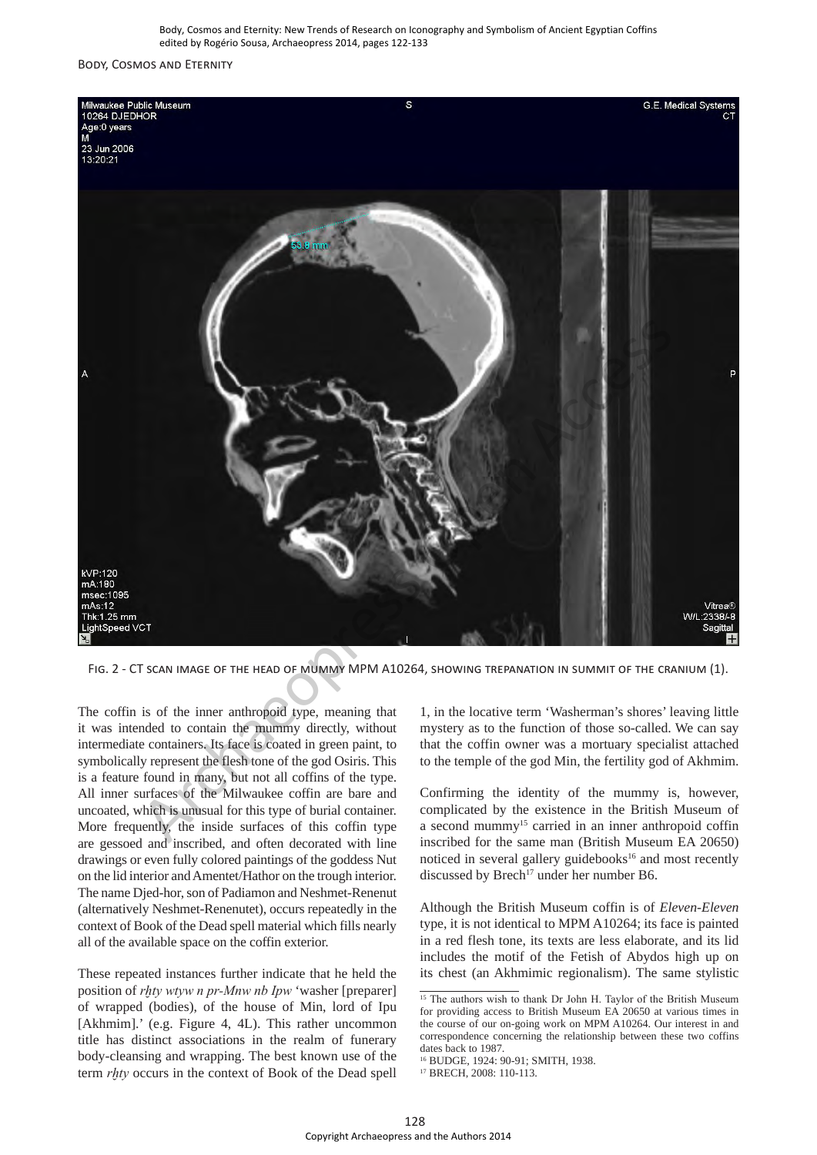#### Body, Cosmos and Eternity



Fig. 2 - CT scan image of the head of mummy MPM A10264, showing trepanation in summit of the cranium (1).

The coffin is of the inner anthropoid type, meaning that it was intended to contain the mummy directly, without intermediate containers. Its face is coated in green paint, to symbolically represent the flesh tone of the god Osiris. This is a feature found in many, but not all coffins of the type. All inner surfaces of the Milwaukee coffin are bare and uncoated, which is unusual for this type of burial container. More frequently, the inside surfaces of this coffin type are gessoed and inscribed, and often decorated with line drawings or even fully colored paintings of the goddess Nut on the lid interior and Amentet/Hathor on the trough interior. The name Djed-hor, son of Padiamon and Neshmet-Renenut (alternatively Neshmet-Renenutet), occurs repeatedly in the context of Book of the Dead spell material which fills nearly all of the available space on the coffin exterior.

These repeated instances further indicate that he held the position of *rḫty wtyw n pr-Mnw nb Ipw* 'washer [preparer] of wrapped (bodies), of the house of Min, lord of Ipu [Akhmim].' (e.g. Figure 4, 4L). This rather uncommon title has distinct associations in the realm of funerary body-cleansing and wrapping. The best known use of the term *rḫty* occurs in the context of Book of the Dead spell

1, in the locative term 'Washerman's shores' leaving little mystery as to the function of those so-called. We can say that the coffin owner was a mortuary specialist attached to the temple of the god Min, the fertility god of Akhmim.

Confirming the identity of the mummy is, however, complicated by the existence in the British Museum of a second mummy<sup>15</sup> carried in an inner anthropoid coffin inscribed for the same man (British Museum EA 20650) noticed in several gallery guidebooks<sup>16</sup> and most recently discussed by Brech<sup>17</sup> under her number B6.

Although the British Museum coffin is of *Eleven-Eleven* type, it is not identical to MPM A10264; its face is painted in a red flesh tone, its texts are less elaborate, and its lid includes the motif of the Fetish of Abydos high up on its chest (an Akhmimic regionalism). The same stylistic

 $15$  The authors wish to thank Dr John H. Taylor of the British Museum for providing access to British Museum EA 20650 at various times in the course of our on-going work on MPM A10264. Our interest in and correspondence concerning the relationship between these two coffins dates back to 1987.

<sup>16</sup> BUDGE, 1924: 90-91; SMITH, 1938.

<sup>&</sup>lt;sup>17</sup> BRECH, 2008: 110-113.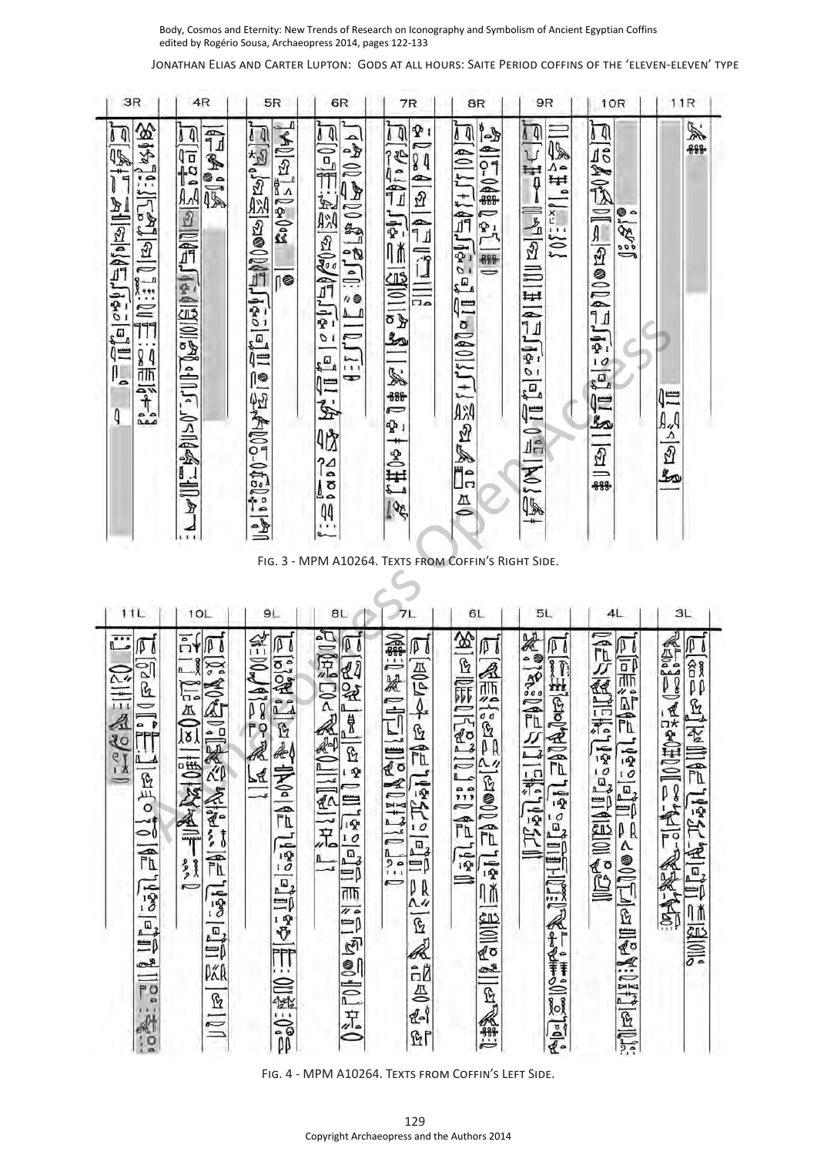Jonathan Elias and Carter Lupton: Gods at all hours: Saite Period coffins of the 'eleven-eleven' type

| 3R                                                                                                                                                                | 4R                                                                                                                                                                           | 5R                                                                                                                                                                                                                               | 6R                                                                                                                                                                                                                                                               | 7R                                                                                                                                                                              | 8R                                                                                                                                                                     | 9R                                                                                                                                                            | 10R                                                                                                                                                                                          | 11R                                                                                                                                                                                       |
|-------------------------------------------------------------------------------------------------------------------------------------------------------------------|------------------------------------------------------------------------------------------------------------------------------------------------------------------------------|----------------------------------------------------------------------------------------------------------------------------------------------------------------------------------------------------------------------------------|------------------------------------------------------------------------------------------------------------------------------------------------------------------------------------------------------------------------------------------------------------------|---------------------------------------------------------------------------------------------------------------------------------------------------------------------------------|------------------------------------------------------------------------------------------------------------------------------------------------------------------------|---------------------------------------------------------------------------------------------------------------------------------------------------------------|----------------------------------------------------------------------------------------------------------------------------------------------------------------------------------------------|-------------------------------------------------------------------------------------------------------------------------------------------------------------------------------------------|
| 144183<br>14<br>45<br>i: [ka] a   ji:ME<br>iladishidir.<br>$\begin{split} \mathcal{L}_\text{max} = \mathcal{L}_\text{max} \end{split}$<br>I.<br>4                 | <b>FIRTH</b><br>Ą<br>O<br>$\frac{1}{10}$<br>ĀĀ<br>$\mathcal{D}$<br>10年799131012011770114<br>Ľ<br>$\mathbb{F}$<br>11                                                          | 1 J<br>80955814<br>2を11点ののの (ないこと)<br>(¶<br>區<br>$\frac{1}{2}$                                                                                                                                                                   | 14<br>140000000000000<br>$\frac{1}{2}$<br>$\sum_{i=1}^{n}$<br>517<br>$\overline{\sigma}$<br>$\mathbb{Z}_2$<br>$\bullet$<br>に<br>S<br>咇<br>$\frac{1}{2}$<br>44<br>$\cdots$                                                                                        | γ.,<br>$\sqrt{4}$<br>140万元<br>$\sqrt{3}$<br>$\Rightarrow$<br>Ŋ<br>$\equiv$ $\frac{1}{2}$<br>自己<br>1501541<br>ಗಾ<br><b>1#81</b><br>P 1<br>$\frac{1}{1}$ ed $\frac{1}{11}$<br>105 | 1-d<br>0 Q<br>$r_0^2 \geq r_2^2$ i 7 - 2<br>10-04器<br>أهتل<br>299<br>$\Rightarrow$<br>Layre这/+1/10Mell<br>$\overline{4}$                                               | $\sqrt{4}$<br>45<br>$-15$<br>م ۸<br>₩<br>$\circ$<br>i (die 11<br>101504<br>$\frac{1}{20}0\frac{1}{10}[\frac{1}{2}e^{i\frac{\pi}{2}}]$<br>$\overline{M}$<br>45 | 0 J<br><b>EALER ESTED</b><br>ه چ<br>35.2<br>Jié<br>$\frac{10}{5}$<br>Q≡<br>$\mathbf{z}$<br>劉[马]                                                                                              | S.<br>-888-<br>仁<br>पर  दा भी                                                                                                                                                             |
|                                                                                                                                                                   |                                                                                                                                                                              |                                                                                                                                                                                                                                  | FIG. 3 - MPM A10264. TEXTS FROM COFFIN'S RIGHT SIDE.                                                                                                                                                                                                             |                                                                                                                                                                                 |                                                                                                                                                                        |                                                                                                                                                               |                                                                                                                                                                                              |                                                                                                                                                                                           |
| 1 T L                                                                                                                                                             | 1OL                                                                                                                                                                          | 9L                                                                                                                                                                                                                               | 8L                                                                                                                                                                                                                                                               |                                                                                                                                                                                 | 6L                                                                                                                                                                     | 5L                                                                                                                                                            | 4L                                                                                                                                                                                           | 3L                                                                                                                                                                                        |
| Č.,                                                                                                                                                               | កំ                                                                                                                                                                           |                                                                                                                                                                                                                                  | φ                                                                                                                                                                                                                                                                |                                                                                                                                                                                 |                                                                                                                                                                        |                                                                                                                                                               |                                                                                                                                                                                              |                                                                                                                                                                                           |
| Øδ<br>182<br>031113<br>B<br>P<br>४०<br>$\mathcal{C}$<br>12<br><b>2月9</b><br>$\equiv$<br>(⊃<br>$\mathbb{R}$<br>اقوا والله الأ<br>PO <sub>2</sub><br>$\overline{Q}$ | $\sum_{\alpha}$<br>《全国》<br>$\sum_{n=1}^{\infty}$<br>$\overline{8}$<br>鲷<br><b>September</b><br>帚<br>龍<br><b>see</b><br>こ<br>$\overline{}$<br>$\frac{1}{3}$<br>山山<br>PÃR<br>Ŀ | $\ell^{\infty}$ 04-R<br>Øδ<br><b>Relate</b><br>$\frac{1}{2}$<br>$\bullet$<br>ħ<br>AL-OF<br>$\mathbf{G}$<br>到之二<br>$\underline{\mathbb{R}}$<br>$\overline{\widehat{\mathbb{r}}\mathbb{t}}$<br>1950<br>马<br>中学<br>馅<br><b>FOST</b> | $\boldsymbol{y}$<br>2011年10日<br>国定<br>量<br>$\mathbb{R}$<br>ß<br>耍<br>⊃<br>₫^<br>〓<br>$\overline{12}$<br>兒<br>$\overline{10}$<br>區<br>ΞÞ<br>ताक्त<br>$\overline{u}$<br>∣≕<br>$\mathbb{Z}$<br><b>SHEOLE</b><br>FIG. 4 - MPM A10264. TEXTS FROM COFFIN'S LEFT SIDE. | 10年11期<br>PΙ<br>$\frac{1}{2}$<br>y∗<br>ENDIANTIN<br>Ŀ<br>FL<br>$575$ al<br>画<br>≕Þ<br>$\overline{ }$<br>ρR<br>Λ4<br>ß<br>Ä<br>ĉÃ<br>疂<br>41<br>দ্রি                             | 第一の<br>IJΙ<br>《那<br><b>PROJ</b><br><b>Keillis ler</b><br>$\mathfrak{a}_4$<br>$\overline{\Omega}$<br>is 19<br>$\frac{1}{2}$<br>$\frac{1}{2}$<br>⋔≬<br>图圆片<br>L<br>[空风器] | 第1239<br>图书目<br>芭里风<br><b>アミリニキニにも</b><br>$\frac{1}{2}$<br>رت<br>$\mathbf{T}$<br>$\frac{1}{2}$<br>一个十<br>精<br>$\frac{1}{2}$<br>$\frac{1}{2}$                  | 【地方的<br>D<br>b<br><b>ELESS</b><br>睛<br>ĒĪ<br>les 1949<br>550<br>$\begin{array}{c} \hline \Xi_4 \\ \hline \Xi_5 \end{array}$<br>Lillie Holland<br>$\overline{\mathbb{B}}$<br>$\sum_{i=1}^{n}$ | $100$ #0 $\approx$ R $\approx$ 0 $\approx$ 80<br>$\overline{\mathbb{F}}$<br><b>EXAMPLE</b><br>飞<br>$\pmb{\mathcal{Q}}$<br>β<br><b>ATALLET ATALES</b><br>$\overline{0}$<br>F<br>《法上会》<br>▒ |
|                                                                                                                                                                   |                                                                                                                                                                              |                                                                                                                                                                                                                                  |                                                                                                                                                                                                                                                                  | 129                                                                                                                                                                             |                                                                                                                                                                        |                                                                                                                                                               |                                                                                                                                                                                              |                                                                                                                                                                                           |
|                                                                                                                                                                   |                                                                                                                                                                              |                                                                                                                                                                                                                                  | Copyright Archaeopress and the Authors 2014                                                                                                                                                                                                                      |                                                                                                                                                                                 |                                                                                                                                                                        |                                                                                                                                                               |                                                                                                                                                                                              |                                                                                                                                                                                           |

FIG. 4 - MPM A10264. TEXTS FROM COFFIN'S LEFT SIDE.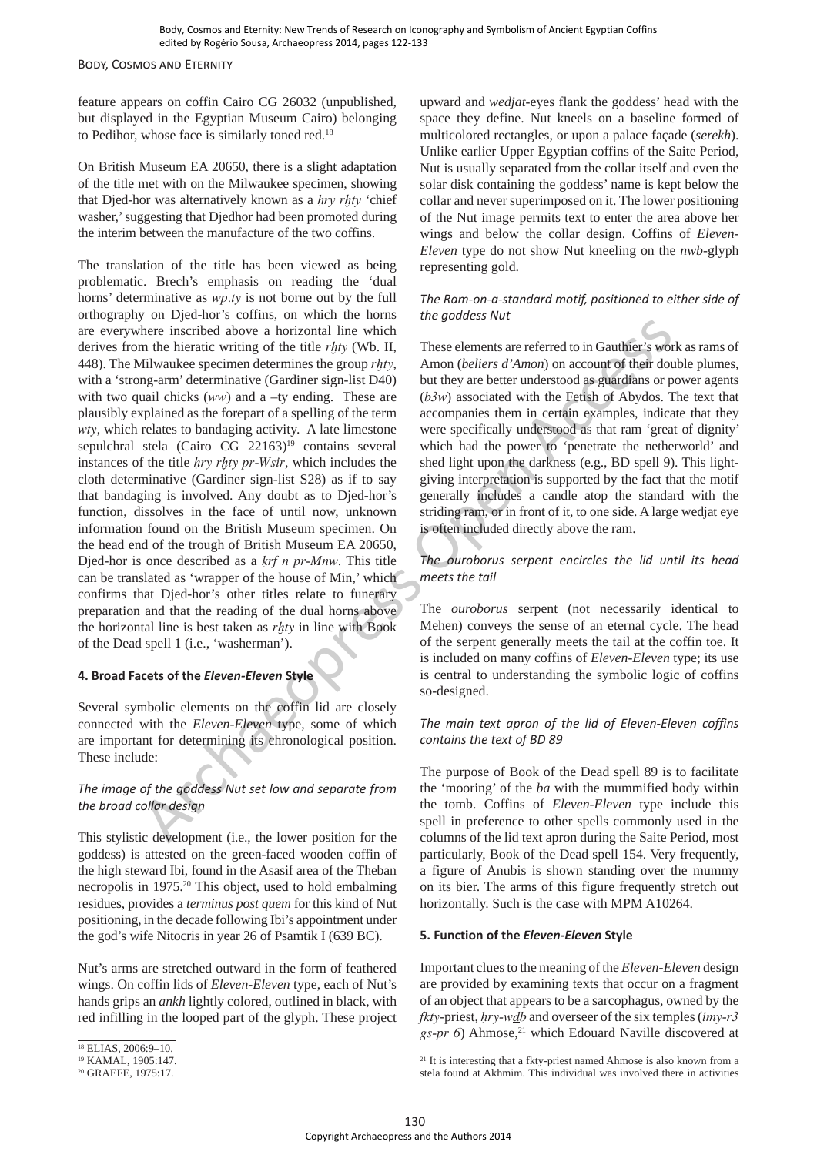Body, Cosmos and Eternity

feature appears on coffin Cairo CG 26032 (unpublished, but displayed in the Egyptian Museum Cairo) belonging to Pedihor, whose face is similarly toned red.<sup>18</sup>

On British Museum EA 20650, there is a slight adaptation of the title met with on the Milwaukee specimen, showing that Djed-hor was alternatively known as a *hry rhty* 'chief washer,' suggesting that Djedhor had been promoted during the interim between the manufacture of the two coffins.

The translation of the title has been viewed as being problematic. Brech's emphasis on reading the 'dual horns' determinative as *wp.ty* is not borne out by the full orthography on Djed-hor's coffins, on which the horns are everywhere inscribed above a horizontal line which derives from the hieratic writing of the title *rḫty* (Wb. II, 448). The Milwaukee specimen determines the group *rḫty*, with a 'strong-arm' determinative (Gardiner sign-list D40) with two quail chicks (*ww*) and a –ty ending. These are plausibly explained as the forepart of a spelling of the term *wty*, which relates to bandaging activity. A late limestone sepulchral stela (Cairo CG 22163)<sup>19</sup> contains several instances of the title *Hry rḫty pr-Wsir*, which includes the cloth determinative (Gardiner sign-list S28) as if to say that bandaging is involved. Any doubt as to Djed-hor's function, dissolves in the face of until now, unknown information found on the British Museum specimen. On the head end of the trough of British Museum EA 20650, Djed-hor is once described as a *krf n pr-Mnw*. This title can be translated as 'wrapper of the house of Min,' which confirms that Djed-hor's other titles relate to funerary preparation and that the reading of the dual horns above the horizontal line is best taken as *rḫty* in line with Book of the Dead spell 1 (i.e., 'washerman'). here incored are the interest and the width are when the Authors 2014 Archaeol are the Authors 2014 Archaeopre the Authors 2014 Archaeopre and the Authors 2014 Archaeopre and the Authors 2014 Archaeopre and the Authors 20

## **4. Broad Facets of the** *Eleven-Eleven* **Style**

Several symbolic elements on the coffin lid are closely connected with the *Eleven-Eleven* type, some of which are important for determining its chronological position. These include:

## *The image of the goddess Nut set low and separate from the broad collar design*

This stylistic development (i.e., the lower position for the goddess) is attested on the green-faced wooden coffin of the high steward Ibi, found in the Asasif area of the Theban necropolis in 1975.20 This object, used to hold embalming residues, provides a *terminus post quem* for this kind of Nut positioning, in the decade following Ibi's appointment under the god's wife Nitocris in year 26 of Psamtik I (639 BC).

Nut's arms are stretched outward in the form of feathered wings. On coffin lids of *Eleven-Eleven* type, each of Nut's hands grips an *ankh* lightly colored, outlined in black, with red infilling in the looped part of the glyph. These project upward and *wedjat*-eyes flank the goddess' head with the space they define. Nut kneels on a baseline formed of multicolored rectangles, or upon a palace façade (*serekh*). Unlike earlier Upper Egyptian coffins of the Saite Period, Nut is usually separated from the collar itself and even the solar disk containing the goddess' name is kept below the collar and never superimposed on it. The lower positioning of the Nut image permits text to enter the area above her wings and below the collar design. Coffins of *Eleven-Eleven* type do not show Nut kneeling on the *nwb*-glyph representing gold.

## *The Ram-on-a-standard motif, positioned to either side of the goddess Nut*

These elements are referred to in Gauthier's work as rams of Amon (*beliers d'Amon*) on account of their double plumes, but they are better understood as guardians or power agents (*b3w*) associated with the Fetish of Abydos. The text that accompanies them in certain examples, indicate that they were specifically understood as that ram 'great of dignity' which had the power to 'penetrate the netherworld' and shed light upon the darkness (e.g., BD spell 9). This lightgiving interpretation is supported by the fact that the motif generally includes a candle atop the standard with the striding ram, or in front of it, to one side. A large wedjat eye is often included directly above the ram.

## *The ouroborus serpent encircles the lid until its head meets the tail*

The *ouroborus* serpent (not necessarily identical to Mehen) conveys the sense of an eternal cycle. The head of the serpent generally meets the tail at the coffin toe. It is included on many coffins of *Eleven-Eleven* type; its use is central to understanding the symbolic logic of coffins so-designed.

## *The main text apron of the lid of Eleven-Eleven coffins contains the text of BD 89*

The purpose of Book of the Dead spell 89 is to facilitate the 'mooring' of the *ba* with the mummified body within the tomb. Coffins of *Eleven-Eleven* type include this spell in preference to other spells commonly used in the columns of the lid text apron during the Saite Period, most particularly, Book of the Dead spell 154. Very frequently, a figure of Anubis is shown standing over the mummy on its bier. The arms of this figure frequently stretch out horizontally. Such is the case with MPM A10264.

## **5. Function of the** *Eleven-Eleven* **Style**

Important clues to the meaning of the *Eleven-Eleven* design are provided by examining texts that occur on a fragment of an object that appears to be a sarcophagus, owned by the *fkty*-priest, *Hry-wdb* and overseer of the six temples (*imy-r3 gs-pr 6*) Ahmose,<sup>21</sup> which Edouard Naville discovered at

<sup>18</sup> ELIAS, 2006:9–10.

<sup>19</sup> KAMAL, 1905:147.

<sup>20</sup> GRAEFE, 1975:17.

 $21$  It is interesting that a fkty-priest named Ahmose is also known from a stela found at Akhmim. This individual was involved there in activities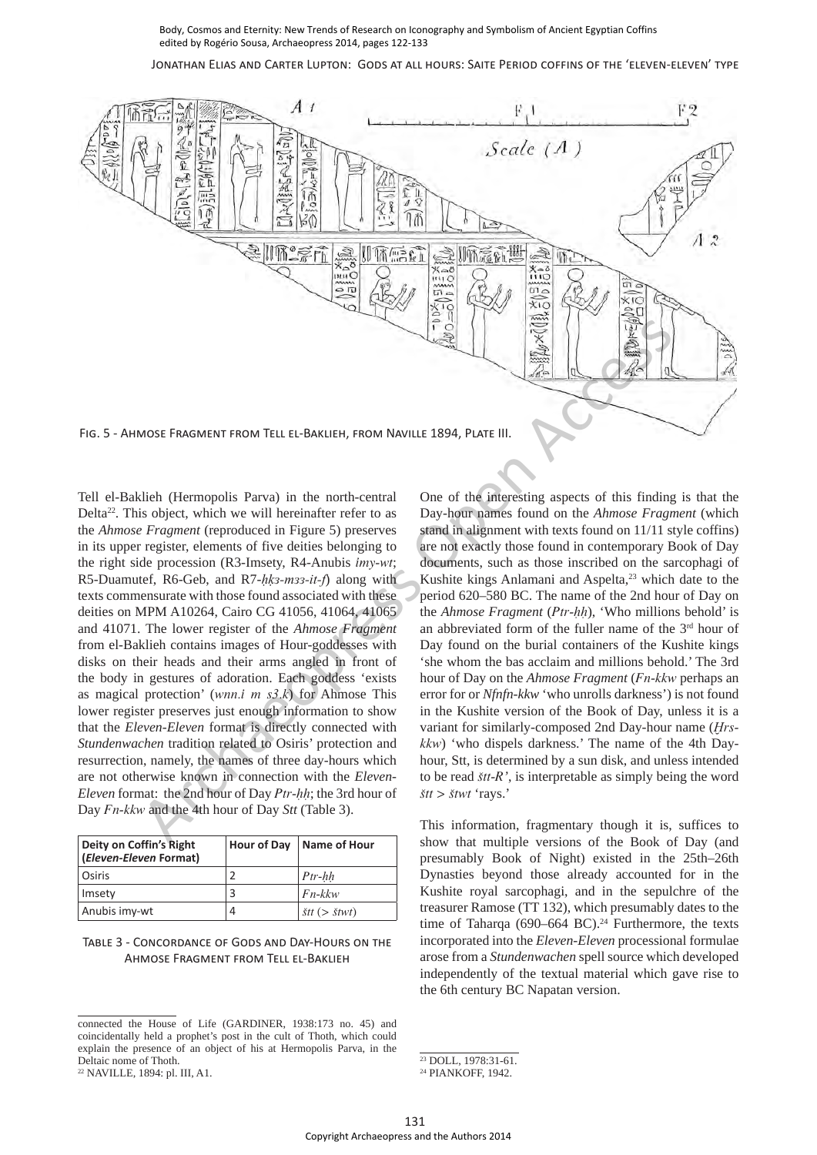Jonathan Elias and Carter Lupton: Gods at all hours: Saite Period coffins of the 'eleven-eleven' type



Tell el-Baklieh (Hermopolis Parva) in the north-central Delta<sup>22</sup>. This object, which we will hereinafter refer to as the *Ahmose Fragment* (reproduced in Figure 5) preserves in its upper register, elements of five deities belonging to the right side procession (R3-Imsety, R4-Anubis *imy-wt*; R5-Duamutef, R6-Geb, and R7-hk3-m33-it-f) along with texts commensurate with those found associated with these deities on MPM A10264, Cairo CG 41056, 41064, 41065 and 41071. The lower register of the *Ahmose Fragment* from el-Baklieh contains images of Hour-goddesses with disks on their heads and their arms angled in front of the body in gestures of adoration. Each goddess 'exists as magical protection' (*wnn.i m s3.k*) for Ahmose This lower register preserves just enough information to show that the *Eleven-Eleven* format is directly connected with *Stundenwachen* tradition related to Osiris' protection and resurrection, namely, the names of three day-hours which are not otherwise known in connection with the *Eleven-Eleven* format: the 2nd hour of Day *Ptr-hh*; the 3rd hour of Day *Fn-kkw* and the 4th hour of Day *Stt* (Table 3). Copyright Archaeopress and the time angles in the authors 2014 Archaeolroad and the Eleven-Book archaeopress and the authors 2014 Archaeopress and the Copyright Archaeopress and the Copyright Archaeopress and the Copyrigh

| Deity on Coffin's Right<br>(Eleven-Eleven Format) | Hour of Day | Name of Hour                      |
|---------------------------------------------------|-------------|-----------------------------------|
| Osiris                                            |             | $Ptr-hh$                          |
| Imsety                                            |             | $Fn-kkw$                          |
| Anubis imy-wt                                     | 4           | $\check{s}tt \; (> \check{s}twt)$ |

#### Table 3 - Concordance of Gods and Day-Hours on the Ahmose Fragment from Tell el-Baklieh

<sup>22</sup> NAVILLE, 1894: pl. III, A1.

One of the interesting aspects of this finding is that the Day-hour names found on the *Ahmose Fragment* (which stand in alignment with texts found on 11/11 style coffins) are not exactly those found in contemporary Book of Day documents, such as those inscribed on the sarcophagi of Kushite kings Anlamani and Aspelta,<sup>23</sup> which date to the period 620–580 BC. The name of the 2nd hour of Day on the *Ahmose Fragment* (*Ptr-hh*), 'Who millions behold' is an abbreviated form of the fuller name of the 3rd hour of Day found on the burial containers of the Kushite kings 'she whom the bas acclaim and millions behold.' The 3rd hour of Day on the *Ahmose Fragment* (*Fn-kkw* perhaps an error for or *Nfnfn-kkw* 'who unrolls darkness') is not found in the Kushite version of the Book of Day, unless it is a variant for similarly-composed 2nd Day-hour name (*Ḫrskkw*) 'who dispels darkness.' The name of the 4th Dayhour, Stt, is determined by a sun disk, and unless intended to be read *Stt-R'*, is interpretable as simply being the word *Stt > Stwt* 'rays.'

This information, fragmentary though it is, suffices to show that multiple versions of the Book of Day (and presumably Book of Night) existed in the 25th–26th Dynasties beyond those already accounted for in the Kushite royal sarcophagi, and in the sepulchre of the treasurer Ramose (TT 132), which presumably dates to the time of Taharqa (690–664 BC).<sup>24</sup> Furthermore, the texts incorporated into the *Eleven-Eleven* processional formulae arose from a *Stundenwachen* spell source which developed independently of the textual material which gave rise to the 6th century BC Napatan version.

connected the House of Life (GARDINER, 1938:173 no. 45) and coincidentally held a prophet's post in the cult of Thoth, which could explain the presence of an object of his at Hermopolis Parva, in the Deltaic nome of Thoth.

<sup>23</sup> DOLL, 1978:31-61.

<sup>24</sup> PIANKOFF, 1942.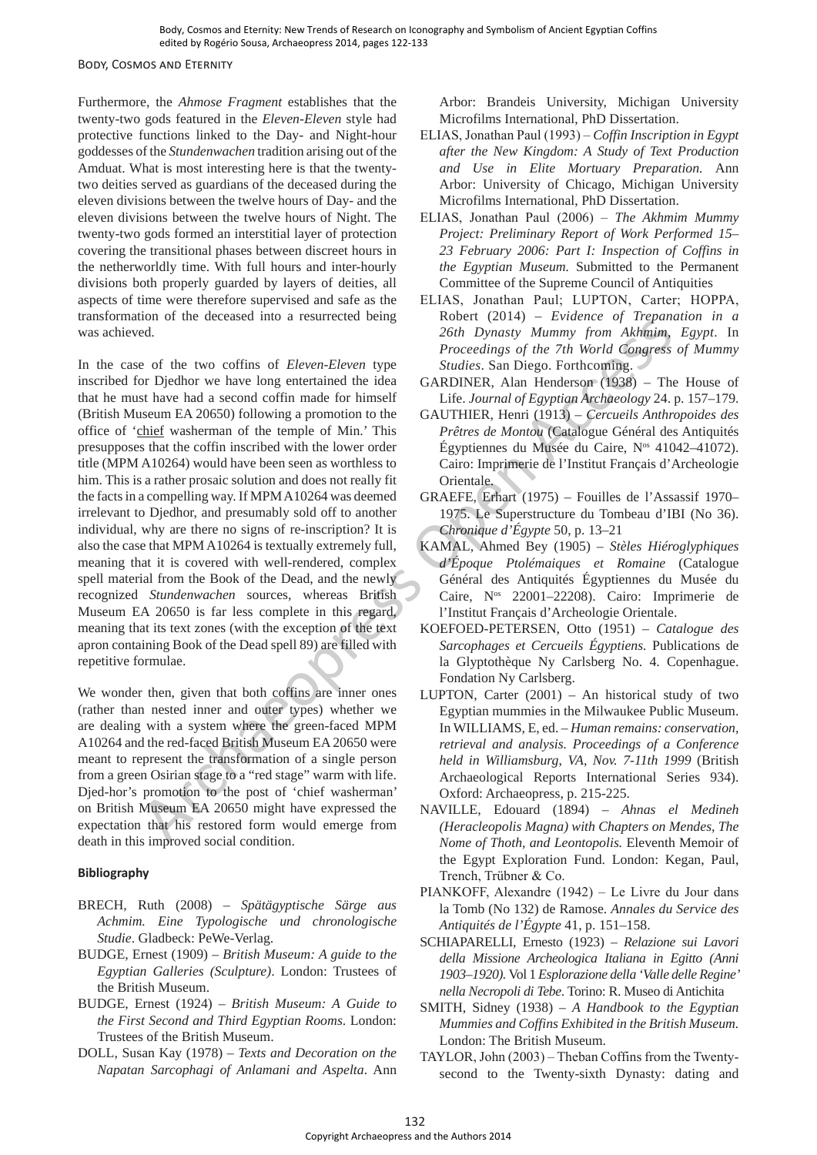#### Body, Cosmos and Eternity

Furthermore, the *Ahmose Fragment* establishes that the twenty-two gods featured in the *Eleven-Eleven* style had protective functions linked to the Day- and Night-hour goddesses of the *Stundenwachen* tradition arising out of the Amduat. What is most interesting here is that the twentytwo deities served as guardians of the deceased during the eleven divisions between the twelve hours of Day- and the eleven divisions between the twelve hours of Night. The twenty-two gods formed an interstitial layer of protection covering the transitional phases between discreet hours in the netherworldly time. With full hours and inter-hourly divisions both properly guarded by layers of deities, all aspects of time were therefore supervised and safe as the transformation of the deceased into a resurrected being was achieved.

In the case of the two coffins of *Eleven-Eleven* type inscribed for Djedhor we have long entertained the idea that he must have had a second coffin made for himself (British Museum EA 20650) following a promotion to the office of 'chief washerman of the temple of Min.' This presupposes that the coffin inscribed with the lower order title (MPM A10264) would have been seen as worthless to him. This is a rather prosaic solution and does not really fit the facts in a compelling way. If MPM A10264 was deemed irrelevant to Djedhor, and presumably sold off to another individual, why are there no signs of re-inscription? It is also the case that MPM A10264 is textually extremely full, meaning that it is covered with well-rendered, complex spell material from the Book of the Dead, and the newly recognized *Stundenwachen* sources, whereas British Museum EA 20650 is far less complete in this regard, meaning that its text zones (with the exception of the text apron containing Book of the Dead spell 89) are filled with repetitive formulae. and the section are the section of the South Archaeo Copyright Archaeo Copyright Archaeo Copyright Archaeo Copyright Archaeo Copyright Archaeological Results and a section of Europe Access Archaeological Results and the s

We wonder then, given that both coffins are inner ones (rather than nested inner and outer types) whether we are dealing with a system where the green-faced MPM A10264 and the red-faced British Museum EA 20650 were meant to represent the transformation of a single person from a green Osirian stage to a "red stage" warm with life. Djed-hor's promotion to the post of 'chief washerman' on British Museum EA 20650 might have expressed the expectation that his restored form would emerge from death in this improved social condition.

#### **Bibliography**

- BRECH, Ruth (2008) *Spätägyptische Särge aus Achmim. Eine Typologische und chronologische Studie*. Gladbeck: PeWe-Verlag.
- BUDGE, Ernest (1909) *British Museum: A guide to the Egyptian Galleries (Sculpture)*. London: Trustees of the British Museum.
- BUDGE, Ernest (1924) *British Museum: A Guide to the First Second and Third Egyptian Rooms*. London: Trustees of the British Museum.
- DOLL, Susan Kay (1978) *Texts and Decoration on the Napatan Sarcophagi of Anlamani and Aspelta*. Ann

Arbor: Brandeis University, Michigan University Microfilms International, PhD Dissertation.

- ELIAS, Jonathan Paul (1993) *Coffin Inscription in Egypt after the New Kingdom: A Study of Text Production and Use in Elite Mortuary Preparation.* Ann Arbor: University of Chicago, Michigan University Microfilms International, PhD Dissertation.
- ELIAS, Jonathan Paul (2006) *The Akhmim Mummy Project: Preliminary Report of Work Performed 15– 23 February 2006: Part I: Inspection of Coffins in the Egyptian Museum.* Submitted to the Permanent Committee of the Supreme Council of Antiquities
- ELIAS, Jonathan Paul; LUPTON, Carter; HOPPA, Robert (2014) – *Evidence of Trepanation in a 26th Dynasty Mummy from Akhmim, Egypt*. In *Proceedings of the 7th World Congress of Mummy Studies*. San Diego. Forthcoming.
- GARDINER, Alan Henderson (1938) The House of Life. *Journal of Egyptian Archaeology* 24. p. 157–179.
- GAUTHIER, Henri (1913) *Cercueils Anthropoides des Prêtres de Montou* (Catalogue Général des Antiquités Égyptiennes du Musée du Caire, Nos 41042–41072). Cairo: Imprimerie de l'Institut Français d'Archeologie Orientale.
- GRAEFE, Erhart (1975) Fouilles de l'Assassif 1970– 1975. Le Superstructure du Tombeau d'IBI (No 36). *Chronique d'Égypte* 50, p. 13–21
- KAMAL, Ahmed Bey (1905) *Stèles Hiéroglyphiques d'Époque Ptolémaiques et Romaine* (Catalogue Général des Antiquités Égyptiennes du Musée du Caire, Nos 22001–22208). Cairo: Imprimerie de l'Institut Français d'Archeologie Orientale.
- KOEFOED-PETERSEN, Otto (1951) *Catalogue des Sarcophages et Cercueils Égyptiens.* Publications de la Glyptothèque Ny Carlsberg No. 4. Copenhague. Fondation Ny Carlsberg.
- LUPTON, Carter (2001) An historical study of two Egyptian mummies in the Milwaukee Public Museum. In WILLIAMS, E, ed. – *Human remains: conservation, retrieval and analysis. Proceedings of a Conference held in Williamsburg*, *VA, Nov. 7-11th 1999* (British Archaeological Reports International Series 934). Oxford: Archaeopress, p. 215-225.
- NAVILLE, Edouard (1894) *Ahnas el Medineh (Heracleopolis Magna) with Chapters on Mendes, The Nome of Thoth, and Leontopolis.* Eleventh Memoir of the Egypt Exploration Fund. London: Kegan, Paul, Trench, Trübner & Co.
- PIANKOFF, Alexandre (1942) Le Livre du Jour dans la Tomb (No 132) de Ramose. *Annales du Service des Antiquités de l'Égypte* 41, p. 151–158.
- SCHIAPARELLI, Ernesto (1923) *Relazione sui Lavori della Missione Archeologica Italiana in Egitto (Anni 1903–1920).* Vol 1 *Esplorazione della 'Valle delle Regine' nella Necropoli di Tebe*. Torino: R. Museo di Antichita
- SMITH, Sidney (1938) *A Handbook to the Egyptian Mummies and Coffins Exhibited in the British Museum.*  London: The British Museum.
- TAYLOR, John (2003) Theban Coffins from the Twentysecond to the Twenty-sixth Dynasty: dating and